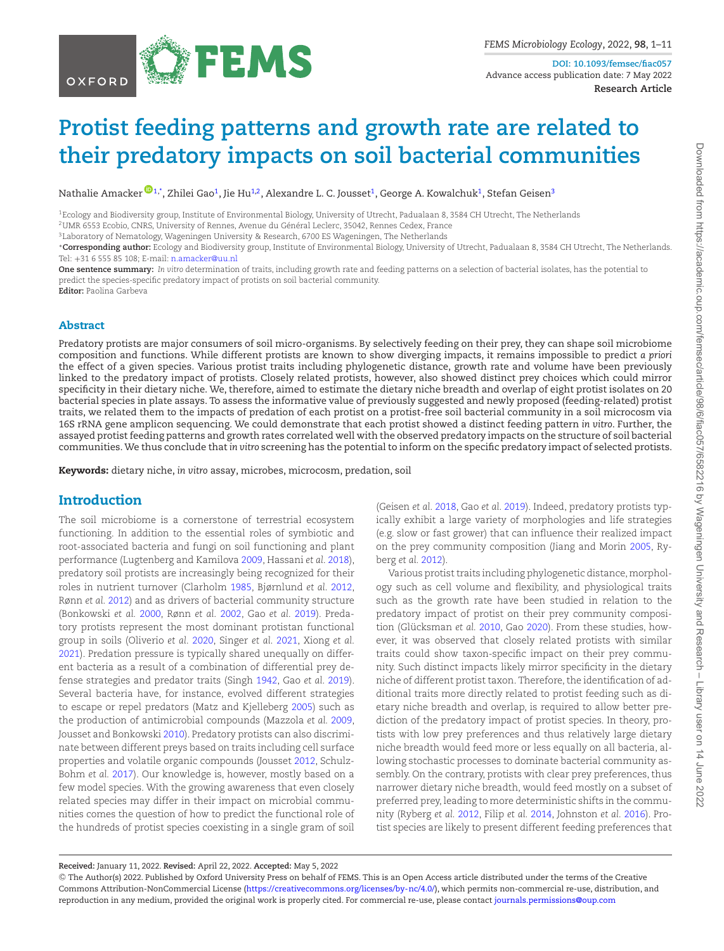

**DOI: 10.1093/femsec/fiac057** Advance access publication date: 7 May 2022 **Research Article**

# **Protist feeding patterns and growth rate are related to their predatory impacts on soil bacterial communities**

Nathalie Amacker  $\blacksquare^1$  $\blacksquare^1$ , Zhilei Gao $^1$ , Jie Hu $^{1,2}$  $^{1,2}$  $^{1,2}$ , Alexandre L. C. Jousset $^1$ , George A. Kowalchuk $^1$ , Stefan Geisen $^3$ 

<span id="page-0-0"></span>1Ecology and Biodiversity group, Institute of Environmental Biology, University of Utrecht, Padualaan 8, 3584 CH Utrecht, The Netherlands 2UMR 6553 Ecobio, CNRS, University of Rennes, Avenue du Général Leclerc, 35042, Rennes Cedex, France

<span id="page-0-3"></span><span id="page-0-2"></span>3Laboratory of Nematology, Wageningen University & Research, 6700 ES Wageningen, The Netherlands

<span id="page-0-1"></span><sup>∗</sup>**Corresponding author:** Ecology and Biodiversity group, Institute of Environmental Biology, University of Utrecht, Padualaan 8, 3584 CH Utrecht, The Netherlands. Tel: +31 6 555 85 108; E-mail: [n.amacker@uu.nl](mailto:n.amacker@uu.nl)

**One sentence summary:** *In vitro* determination of traits, including growth rate and feeding patterns on a selection of bacterial isolates, has the potential to predict the species-specific predatory impact of protists on soil bacterial community.

**Editor:** Paolina Garbeva

#### **Abstract**

Predatory protists are major consumers of soil micro-organisms. By selectively feeding on their prey, they can shape soil microbiome composition and functions. While different protists are known to show diverging impacts, it remains impossible to predict *a priori* the effect of a given species. Various protist traits including phylogenetic distance, growth rate and volume have been previously linked to the predatory impact of protists. Closely related protists, however, also showed distinct prey choices which could mirror specificity in their dietary niche. We, therefore, aimed to estimate the dietary niche breadth and overlap of eight protist isolates on 20 bacterial species in plate assays. To assess the informative value of previously suggested and newly proposed (feeding-related) protist traits, we related them to the impacts of predation of each protist on a protist-free soil bacterial community in a soil microcosm via 16S rRNA gene amplicon sequencing. We could demonstrate that each protist showed a distinct feeding pattern *in vitro*. Further, the assayed protist feeding patterns and growth rates correlated well with the observed predatory impacts on the structure of soil bacterial communities.We thus conclude that *in vitro* screening has the potential to inform on the specific predatory impact of selected protists.

**Keywords:** dietary niche, *in vitro* assay, microbes, microcosm, predation, soil

## **Introduction**

The soil microbiome is a cornerstone of terrestrial ecosystem functioning. In addition to the essential roles of symbiotic and root-associated bacteria and fungi on soil functioning and plant performance (Lugtenberg and Kamilova [2009,](#page-10-0) Hassani *et al.* [2018\)](#page-9-0), predatory soil protists are increasingly being recognized for their roles in nutrient turnover (Clarholm [1985,](#page-9-1) Bjørnlund *et al.* [2012,](#page-9-2) Rønn *et al.* [2012\)](#page-10-1) and as drivers of bacterial community structure (Bonkowski *et al.* [2000,](#page-9-3) Rønn *et al.* [2002,](#page-10-2) Gao *et al.* [2019\)](#page-9-4). Predatory protists represent the most dominant protistan functional group in soils (Oliverio *et al.* [2020,](#page-10-3) Singer *et al.* [2021,](#page-10-4) Xiong *et al.* [2021\)](#page-10-5). Predation pressure is typically shared unequally on different bacteria as a result of a combination of differential prey defense strategies and predator traits (Singh [1942,](#page-10-6) Gao *et al.* [2019\)](#page-9-4). Several bacteria have, for instance, evolved different strategies to escape or repel predators (Matz and Kjelleberg [2005\)](#page-10-7) such as the production of antimicrobial compounds (Mazzola *et al.* [2009,](#page-10-8) Jousset and Bonkowski [2010\)](#page-9-5). Predatory protists can also discriminate between different preys based on traits including cell surface properties and volatile organic compounds (Jousset [2012,](#page-10-9) Schulz-Bohm *et al.* [2017\)](#page-10-10). Our knowledge is, however, mostly based on a few model species. With the growing awareness that even closely related species may differ in their impact on microbial communities comes the question of how to predict the functional role of the hundreds of protist species coexisting in a single gram of soil (Geisen *et al.* [2018,](#page-9-6) Gao *et al.* [2019\)](#page-9-4). Indeed, predatory protists typically exhibit a large variety of morphologies and life strategies (e.g*.* slow or fast grower) that can influence their realized impact on the prey community composition (Jiang and Morin [2005,](#page-9-7) Ryberg *et al.* [2012\)](#page-10-11).

Various protist traits including phylogenetic distance,morphology such as cell volume and flexibility, and physiological traits such as the growth rate have been studied in relation to the predatory impact of protist on their prey community composition (Glücksman *et al.* [2010,](#page-9-8) Gao [2020\)](#page-9-9). From these studies, however, it was observed that closely related protists with similar traits could show taxon-specific impact on their prey community. Such distinct impacts likely mirror specificity in the dietary niche of different protist taxon. Therefore, the identification of additional traits more directly related to protist feeding such as dietary niche breadth and overlap, is required to allow better prediction of the predatory impact of protist species. In theory, protists with low prey preferences and thus relatively large dietary niche breadth would feed more or less equally on all bacteria, allowing stochastic processes to dominate bacterial community assembly. On the contrary, protists with clear prey preferences, thus narrower dietary niche breadth, would feed mostly on a subset of preferred prey, leading to more deterministic shifts in the community (Ryberg *et al.* [2012,](#page-10-11) Filip *et al.* [2014,](#page-9-10) Johnston *et al.* [2016\)](#page-9-11). Protist species are likely to present different feeding preferences that

<sup>C</sup> The Author(s) 2022. Published by Oxford University Press on behalf of FEMS. This is an Open Access article distributed under the terms of the Creative Commons Attribution-NonCommercial License [\(https://creativecommons.org/licenses/by-nc/4.0/\)](https://creativecommons.org/licenses/by-nc/4.0/), which permits non-commercial re-use, distribution, and reproduction in any medium, provided the original work is properly cited. For commercial re-use, please contact [journals.permissions@oup.com](mailto:journals.permissions@oup.com)

**Received:** January 11, 2022. **Revised:** April 22, 2022. **Accepted:** May 5, 2022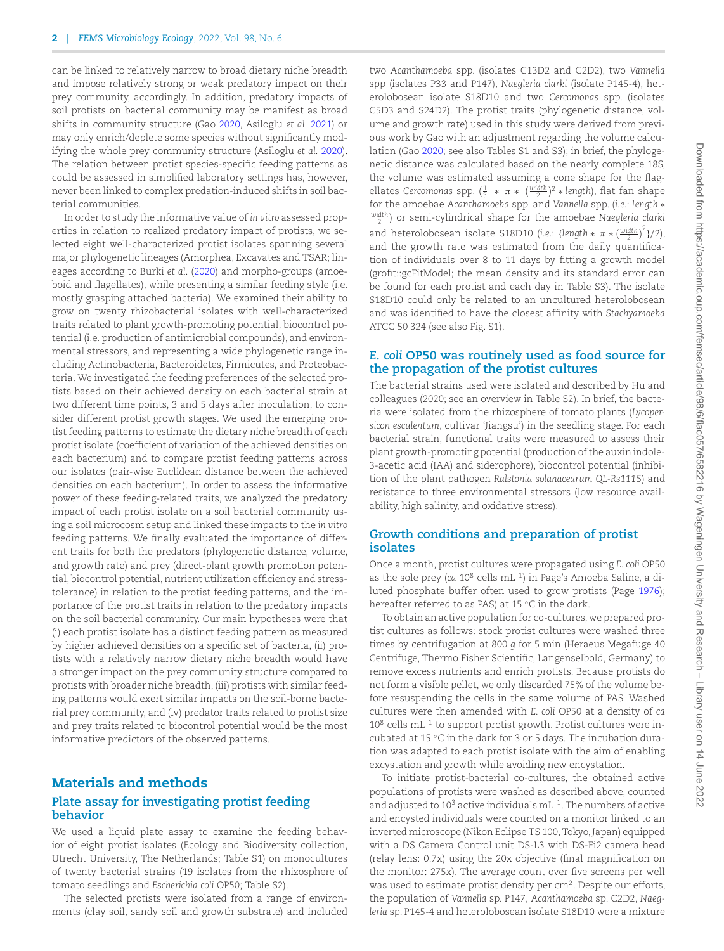can be linked to relatively narrow to broad dietary niche breadth and impose relatively strong or weak predatory impact on their prey community, accordingly. In addition, predatory impacts of soil protists on bacterial community may be manifest as broad shifts in community structure (Gao [2020,](#page-9-9) Asiloglu *et al.* [2021\)](#page-9-12) or may only enrich/deplete some species without significantly modifying the whole prey community structure (Asiloglu *et al.* [2020\)](#page-9-13). The relation between protist species-specific feeding patterns as could be assessed in simplified laboratory settings has, however, never been linked to complex predation-induced shifts in soil bacterial communities.

In order to study the informative value of *in vitro* assessed properties in relation to realized predatory impact of protists, we selected eight well-characterized protist isolates spanning several major phylogenetic lineages (Amorphea, Excavates and TSAR; lineages according to Burki *et al.* [\(2020\)](#page-9-14) and morpho-groups (amoeboid and flagellates), while presenting a similar feeding style (i.e*.* mostly grasping attached bacteria). We examined their ability to grow on twenty rhizobacterial isolates with well-characterized traits related to plant growth-promoting potential, biocontrol potential (i.e*.* production of antimicrobial compounds), and environmental stressors, and representing a wide phylogenetic range including Actinobacteria, Bacteroidetes, Firmicutes, and Proteobacteria. We investigated the feeding preferences of the selected protists based on their achieved density on each bacterial strain at two different time points, 3 and 5 days after inoculation, to consider different protist growth stages. We used the emerging protist feeding patterns to estimate the dietary niche breadth of each protist isolate (coefficient of variation of the achieved densities on each bacterium) and to compare protist feeding patterns across our isolates (pair-wise Euclidean distance between the achieved densities on each bacterium). In order to assess the informative power of these feeding-related traits, we analyzed the predatory impact of each protist isolate on a soil bacterial community using a soil microcosm setup and linked these impacts to the *in vitro* feeding patterns. We finally evaluated the importance of different traits for both the predators (phylogenetic distance, volume, and growth rate) and prey (direct-plant growth promotion potential, biocontrol potential, nutrient utilization efficiency and stresstolerance) in relation to the protist feeding patterns, and the importance of the protist traits in relation to the predatory impacts on the soil bacterial community. Our main hypotheses were that (i) each protist isolate has a distinct feeding pattern as measured by higher achieved densities on a specific set of bacteria, (ii) protists with a relatively narrow dietary niche breadth would have a stronger impact on the prey community structure compared to protists with broader niche breadth, (iii) protists with similar feeding patterns would exert similar impacts on the soil-borne bacterial prey community, and (iv) predator traits related to protist size and prey traits related to biocontrol potential would be the most informative predictors of the observed patterns.

#### **Materials and methods Plate assay for investigating protist feeding behavior**

We used a liquid plate assay to examine the feeding behavior of eight protist isolates (Ecology and Biodiversity collection, Utrecht University, The Netherlands; Table S1) on monocultures of twenty bacterial strains (19 isolates from the rhizosphere of tomato seedlings and *Escherichia coli* OP50; Table S2).

The selected protists were isolated from a range of environments (clay soil, sandy soil and growth substrate) and included two *Acanthamoeba* spp. (isolates C13D2 and C2D2), two *Vannella* spp (isolates P33 and P147), *Naegleria clarki* (isolate P145-4), heterolobosean isolate S18D10 and two *Cercomonas* spp. (isolates C5D3 and S24D2). The protist traits (phylogenetic distance, volume and growth rate) used in this study were derived from previous work by Gao with an adjustment regarding the volume calculation (Gao [2020;](#page-9-9) see also Tables S1 and S3); in brief, the phylogenetic distance was calculated based on the nearly complete 18S, the volume was estimated assuming a cone shape for the flagellates *Cercomonas* spp.  $(\frac{1}{3} * \pi * (\frac{width}{2})^2 * length)$ , flat fan shape for the amoebae *Acanthamoeba* spp. and *Vannella* spp. (*i.e.*: *length* ∗ *width* <sup>2</sup> ) or semi-cylindrical shape for the amoebae *Naegleria clarki* and heterolobosean isolate S18D10 (*i.e.*: {*length*  $*$   $\pi * (\frac{\text{width}}{2})^2$ }/2), and the growth rate was estimated from the daily quantification of individuals over 8 to 11 days by fitting a growth model (grofit::gcFitModel; the mean density and its standard error can be found for each protist and each day in Table S3). The isolate S18D10 could only be related to an uncultured heterolobosean and was identified to have the closest affinity with *Stachyamoeba* ATCC 50 324 (see also Fig. S1).

#### *E. coli* **OP50 was routinely used as food source for the propagation of the protist cultures**

The bacterial strains used were isolated and described by Hu and colleagues (2020; see an overview in Table S2). In brief, the bacteria were isolated from the rhizosphere of tomato plants (*Lycopersicon esculentum*, cultivar 'Jiangsu') in the seedling stage. For each bacterial strain, functional traits were measured to assess their plant growth-promoting potential (production of the auxin indole-3-acetic acid (IAA) and siderophore), biocontrol potential (inhibition of the plant pathogen *Ralstonia solanacearum QL-Rs1115*) and resistance to three environmental stressors (low resource availability, high salinity, and oxidative stress).

#### **Growth conditions and preparation of protist isolates**

Once a month, protist cultures were propagated using *E. coli* OP50 as the sole prey (*ca* 10<sup>8</sup> cells mL–1) in Page's Amoeba Saline, a diluted phosphate buffer often used to grow protists (Page [1976\)](#page-10-12); hereafter referred to as PAS) at 15 ℃ in the dark.

To obtain an active population for co-cultures, we prepared protist cultures as follows: stock protist cultures were washed three times by centrifugation at 800 *g* for 5 min (Heraeus Megafuge 40 Centrifuge, Thermo Fisher Scientific, Langenselbold, Germany) to remove excess nutrients and enrich protists. Because protists do not form a visible pellet, we only discarded 75% of the volume before resuspending the cells in the same volume of PAS. Washed cultures were then amended with *E. coli* OP50 at a density of *ca*  $10^8$  cells mL<sup>-1</sup> to support protist growth. Protist cultures were incubated at 15 ◦C in the dark for 3 or 5 days. The incubation duration was adapted to each protist isolate with the aim of enabling excystation and growth while avoiding new encystation.

To initiate protist-bacterial co-cultures, the obtained active populations of protists were washed as described above, counted and adjusted to  $10^3$  active individuals  $mL^{-1}$ . The numbers of active and encysted individuals were counted on a monitor linked to an inverted microscope (Nikon Eclipse TS 100, Tokyo, Japan) equipped with a DS Camera Control unit DS-L3 with DS-Fi2 camera head (relay lens: 0.7x) using the 20x objective (final magnification on the monitor: 275x). The average count over five screens per well was used to estimate protist density per cm2. Despite our efforts, the population of *Vannella* sp. P147, *Acanthamoeba* sp. C2D2, *Naegleria* sp. P145-4 and heterolobosean isolate S18D10 were a mixture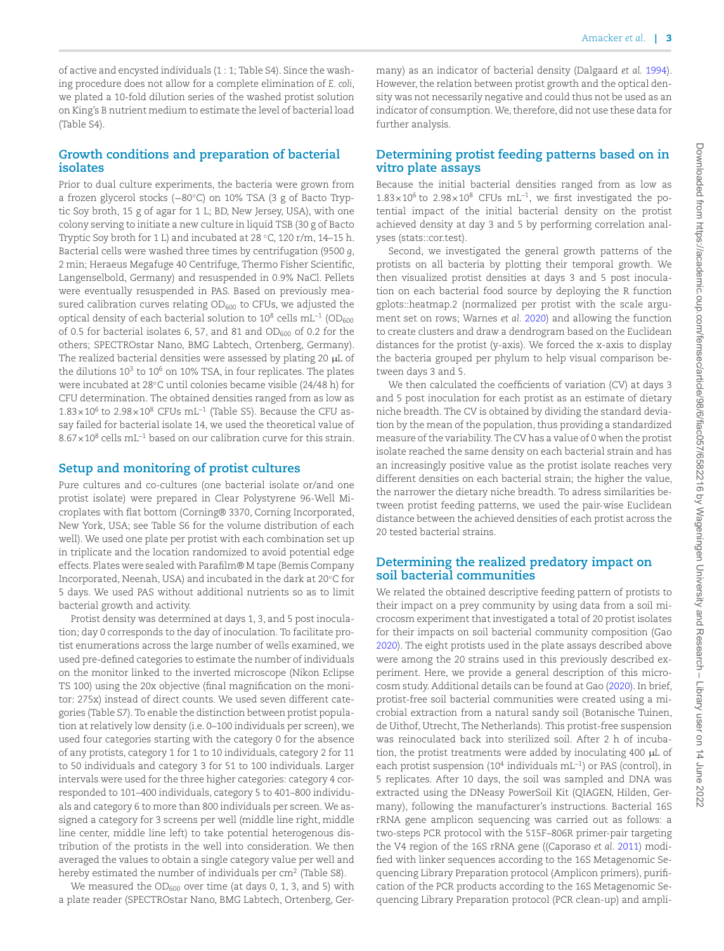of active and encysted individuals (1 : 1; Table S4). Since the washing procedure does not allow for a complete elimination of *E. coli*, we plated a 10-fold dilution series of the washed protist solution on King's B nutrient medium to estimate the level of bacterial load (Table S4).

#### **Growth conditions and preparation of bacterial isolates**

Prior to dual culture experiments, the bacteria were grown from a frozen glycerol stocks (−80◦C) on 10% TSA (3 g of Bacto Tryptic Soy broth, 15 g of agar for 1 L; BD, New Jersey, USA), with one colony serving to initiate a new culture in liquid TSB (30 g of Bacto Tryptic Soy broth for 1 L) and incubated at 28 ◦C, 120 r/m, 14–15 h. Bacterial cells were washed three times by centrifugation (9500 *g*, 2 min; Heraeus Megafuge 40 Centrifuge, Thermo Fisher Scientific, Langenselbold, Germany) and resuspended in 0.9% NaCl. Pellets were eventually resuspended in PAS. Based on previously measured calibration curves relating OD<sub>600</sub> to CFUs, we adjusted the optical density of each bacterial solution to  $10^8$  cells mL<sup>-1</sup> (OD<sub>600</sub>) of 0.5 for bacterial isolates 6, 57, and 81 and  $OD_{600}$  of 0.2 for the others; SPECTROstar Nano, BMG Labtech, Ortenberg, Germany). The realized bacterial densities were assessed by plating 20 μL of the dilutions  $10^3$  to  $10^6$  on  $10\%$  TSA, in four replicates. The plates were incubated at 28◦C until colonies became visible (24/48 h) for CFU determination. The obtained densities ranged from as low as  $1.83\times10^6$  to  $2.98\times10^8$  CFUs mL<sup>-1</sup> (Table S5). Because the CFU assay failed for bacterial isolate 14, we used the theoretical value of  $8.67\times10^{8}$  cells mL<sup>-1</sup> based on our calibration curve for this strain.

#### **Setup and monitoring of protist cultures**

Pure cultures and co-cultures (one bacterial isolate or/and one protist isolate) were prepared in Clear Polystyrene 96-Well Microplates with flat bottom (Corning® 3370, Corning Incorporated, New York, USA; see Table S6 for the volume distribution of each well). We used one plate per protist with each combination set up in triplicate and the location randomized to avoid potential edge effects. Plates were sealed with Parafilm® M tape (Bemis Company Incorporated, Neenah, USA) and incubated in the dark at 20◦C for 5 days. We used PAS without additional nutrients so as to limit bacterial growth and activity.

Protist density was determined at days 1, 3, and 5 post inoculation; day 0 corresponds to the day of inoculation. To facilitate protist enumerations across the large number of wells examined, we used pre-defined categories to estimate the number of individuals on the monitor linked to the inverted microscope (Nikon Eclipse TS 100) using the 20x objective (final magnification on the monitor: 275x) instead of direct counts. We used seven different categories (Table S7). To enable the distinction between protist population at relatively low density (i.e. 0–100 individuals per screen), we used four categories starting with the category 0 for the absence of any protists, category 1 for 1 to 10 individuals, category 2 for 11 to 50 individuals and category 3 for 51 to 100 individuals. Larger intervals were used for the three higher categories: category 4 corresponded to 101–400 individuals, category 5 to 401–800 individuals and category 6 to more than 800 individuals per screen. We assigned a category for 3 screens per well (middle line right, middle line center, middle line left) to take potential heterogenous distribution of the protists in the well into consideration. We then averaged the values to obtain a single category value per well and hereby estimated the number of individuals per  $cm<sup>2</sup>$  (Table S8).

We measured the  $OD_{600}$  over time (at days 0, 1, 3, and 5) with a plate reader (SPECTROstar Nano, BMG Labtech, Ortenberg, Ger-

many) as an indicator of bacterial density (Dalgaard *et al.* [1994\)](#page-9-15). However, the relation between protist growth and the optical density was not necessarily negative and could thus not be used as an indicator of consumption.We, therefore, did not use these data for further analysis.

#### **Determining protist feeding patterns based on in vitro plate assays**

Because the initial bacterial densities ranged from as low as  $1.83\times10^6$  to  $2.98\times10^8$  CFUs mL<sup>-1</sup>, we first investigated the potential impact of the initial bacterial density on the protist achieved density at day 3 and 5 by performing correlation analyses (stats::cor.test).

Second, we investigated the general growth patterns of the protists on all bacteria by plotting their temporal growth. We then visualized protist densities at days 3 and 5 post inoculation on each bacterial food source by deploying the R function gplots::heatmap.2 (normalized per protist with the scale argument set on rows; Warnes *et al.* [2020\)](#page-10-13) and allowing the function to create clusters and draw a dendrogram based on the Euclidean distances for the protist (y-axis). We forced the x-axis to display the bacteria grouped per phylum to help visual comparison between days 3 and 5.

We then calculated the coefficients of variation (CV) at days 3 and 5 post inoculation for each protist as an estimate of dietary niche breadth. The CV is obtained by dividing the standard deviation by the mean of the population, thus providing a standardized measure of the variability. The CV has a value of 0 when the protist isolate reached the same density on each bacterial strain and has an increasingly positive value as the protist isolate reaches very different densities on each bacterial strain; the higher the value, the narrower the dietary niche breadth. To adress similarities between protist feeding patterns, we used the pair-wise Euclidean distance between the achieved densities of each protist across the 20 tested bacterial strains.

#### **Determining the realized predatory impact on soil bacterial communities**

We related the obtained descriptive feeding pattern of protists to their impact on a prey community by using data from a soil microcosm experiment that investigated a total of 20 protist isolates for their impacts on soil bacterial community composition (Gao [2020\)](#page-9-9). The eight protists used in the plate assays described above were among the 20 strains used in this previously described experiment. Here, we provide a general description of this microcosm study. Additional details can be found at Gao [\(2020\)](#page-9-9). In brief, protist-free soil bacterial communities were created using a microbial extraction from a natural sandy soil (Botanische Tuinen, de Uithof, Utrecht, The Netherlands). This protist-free suspension was reinoculated back into sterilized soil. After 2 h of incubation, the protist treatments were added by inoculating 400 μL of each protist suspension (10<sup>4</sup> individuals  $mL^{-1}$ ) or PAS (control), in 5 replicates. After 10 days, the soil was sampled and DNA was extracted using the DNeasy PowerSoil Kit (QIAGEN, Hilden, Germany), following the manufacturer's instructions. Bacterial 16S rRNA gene amplicon sequencing was carried out as follows: a two-steps PCR protocol with the 515F–806R primer-pair targeting the V4 region of the 16S rRNA gene ((Caporaso *et al.* [2011\)](#page-9-16) modified with linker sequences according to the 16S Metagenomic Sequencing Library Preparation protocol (Amplicon primers), purification of the PCR products according to the 16S Metagenomic Sequencing Library Preparation protocol (PCR clean-up) and ampli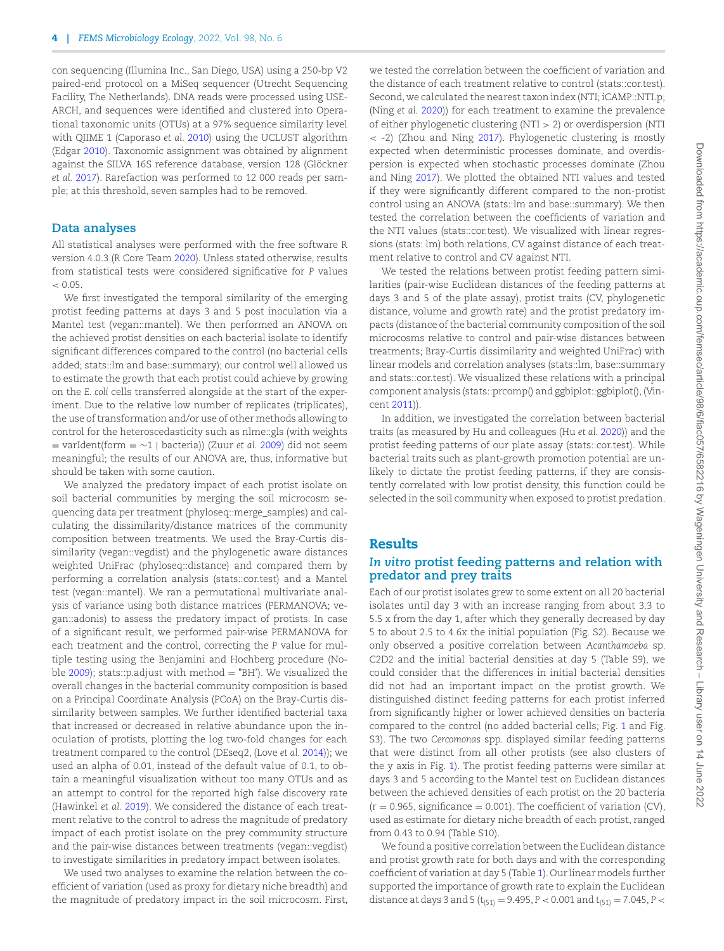con sequencing (Illumina Inc., San Diego, USA) using a 250-bp V2 paired-end protocol on a MiSeq sequencer (Utrecht Sequencing Facility, The Netherlands). DNA reads were processed using USE-ARCH, and sequences were identified and clustered into Operational taxonomic units (OTUs) at a 97% sequence similarity level with QIIME 1 (Caporaso *et al.* [2010\)](#page-9-17) using the UCLUST algorithm (Edgar [2010\)](#page-9-18). Taxonomic assignment was obtained by alignment against the SILVA 16S reference database, version 128 (Glöckner *et al.* [2017\)](#page-9-19). Rarefaction was performed to 12 000 reads per sample; at this threshold, seven samples had to be removed.

#### **Data analyses**

All statistical analyses were performed with the free software R version 4.0.3 (R Core Team [2020\)](#page-10-14). Unless stated otherwise, results from statistical tests were considered significative for *P* values  $\leq 0.05$ 

We first investigated the temporal similarity of the emerging protist feeding patterns at days 3 and 5 post inoculation via a Mantel test (vegan::mantel). We then performed an ANOVA on the achieved protist densities on each bacterial isolate to identify significant differences compared to the control (no bacterial cells added; stats::lm and base::summary); our control well allowed us to estimate the growth that each protist could achieve by growing on the *E. coli* cells transferred alongside at the start of the experiment. Due to the relative low number of replicates (triplicates), the use of transformation and/or use of other methods allowing to control for the heteroscedasticity such as nlme::gls (with weights = varIdent(form = ∼1 | bacteria)) (Zuur *et al.* [2009\)](#page-10-15) did not seem meaningful; the results of our ANOVA are, thus, informative but should be taken with some caution.

We analyzed the predatory impact of each protist isolate on soil bacterial communities by merging the soil microcosm sequencing data per treatment (phyloseq::merge\_samples) and calculating the dissimilarity/distance matrices of the community composition between treatments. We used the Bray-Curtis dissimilarity (vegan::vegdist) and the phylogenetic aware distances weighted UniFrac (phyloseq::distance) and compared them by performing a correlation analysis (stats::cor.test) and a Mantel test (vegan::mantel). We ran a permutational multivariate analysis of variance using both distance matrices (PERMANOVA; vegan::adonis) to assess the predatory impact of protists. In case of a significant result, we performed pair-wise PERMANOVA for each treatment and the control, correcting the *P* value for multiple testing using the Benjamini and Hochberg procedure (No-ble [2009\)](#page-10-16); stats::p.adjust with method  $=$  "BH'). We visualized the overall changes in the bacterial community composition is based on a Principal Coordinate Analysis (PCoA) on the Bray-Curtis dissimilarity between samples. We further identified bacterial taxa that increased or decreased in relative abundance upon the inoculation of protists, plotting the log two-fold changes for each treatment compared to the control (DEseq2, (Love *et al.* [2014\)](#page-10-17)); we used an alpha of 0.01, instead of the default value of 0.1, to obtain a meaningful visualization without too many OTUs and as an attempt to control for the reported high false discovery rate (Hawinkel *et al.* [2019\)](#page-9-20). We considered the distance of each treatment relative to the control to adress the magnitude of predatory impact of each protist isolate on the prey community structure and the pair-wise distances between treatments (vegan::vegdist) to investigate similarities in predatory impact between isolates.

We used two analyses to examine the relation between the coefficient of variation (used as proxy for dietary niche breadth) and the magnitude of predatory impact in the soil microcosm. First, we tested the correlation between the coefficient of variation and the distance of each treatment relative to control (stats::cor.test). Second, we calculated the nearest taxon index (NTI; iCAMP::NTI.p; (Ning *et al.* [2020\)](#page-10-18)) for each treatment to examine the prevalence of either phylogenetic clustering (NTI > 2) or overdispersion (NTI < -2) (Zhou and Ning [2017\)](#page-10-19). Phylogenetic clustering is mostly expected when deterministic processes dominate, and overdispersion is expected when stochastic processes dominate (Zhou and Ning [2017\)](#page-10-19). We plotted the obtained NTI values and tested if they were significantly different compared to the non-protist control using an ANOVA (stats::lm and base::summary). We then tested the correlation between the coefficients of variation and the NTI values (stats::cor.test). We visualized with linear regressions (stats: lm) both relations, CV against distance of each treatment relative to control and CV against NTI.

We tested the relations between protist feeding pattern similarities (pair-wise Euclidean distances of the feeding patterns at days 3 and 5 of the plate assay), protist traits (CV, phylogenetic distance, volume and growth rate) and the protist predatory impacts (distance of the bacterial community composition of the soil microcosms relative to control and pair-wise distances between treatments; Bray-Curtis dissimilarity and weighted UniFrac) with linear models and correlation analyses (stats::lm, base::summary and stats::cor.test). We visualized these relations with a principal component analysis (stats::prcomp() and ggbiplot::ggbiplot(), (Vincent [2011\)](#page-10-20)).

In addition, we investigated the correlation between bacterial traits (as measured by Hu and colleagues (Hu *et al.* [2020\)](#page-9-21)) and the protist feeding patterns of our plate assay (stats::cor.test). While bacterial traits such as plant-growth promotion potential are unlikely to dictate the protist feeding patterns, if they are consistently correlated with low protist density, this function could be selected in the soil community when exposed to protist predation.

## **Results**

## *In vitro* **protist feeding patterns and relation with predator and prey traits**

Each of our protist isolates grew to some extent on all 20 bacterial isolates until day 3 with an increase ranging from about 3.3 to 5.5 x from the day 1, after which they generally decreased by day 5 to about 2.5 to 4.6x the initial population (Fig. S2). Because we only observed a positive correlation between *Acanthamoeba* sp. C2D2 and the initial bacterial densities at day 5 (Table S9), we could consider that the differences in initial bacterial densities did not had an important impact on the protist growth. We distinguished distinct feeding patterns for each protist inferred from significantly higher or lower achieved densities on bacteria compared to the control (no added bacterial cells; Fig. [1](#page-4-0) and Fig. S3). The two *Cercomonas* spp. displayed similar feeding patterns that were distinct from all other protists (see also clusters of the y axis in Fig. [1\)](#page-4-0). The protist feeding patterns were similar at days 3 and 5 according to the Mantel test on Euclidean distances between the achieved densities of each protist on the 20 bacteria  $(r = 0.965,$  significance = 0.001). The coefficient of variation (CV), used as estimate for dietary niche breadth of each protist, ranged from 0.43 to 0.94 (Table S10).

We found a positive correlation between the Euclidean distance and protist growth rate for both days and with the corresponding coefficient of variation at day 5 (Table [1\)](#page-5-0). Our linear models further supported the importance of growth rate to explain the Euclidean distance at days 3 and 5 ( $t_{(51)} = 9.495$ ,  $P < 0.001$  and  $t_{(51)} = 7.045$ ,  $P <$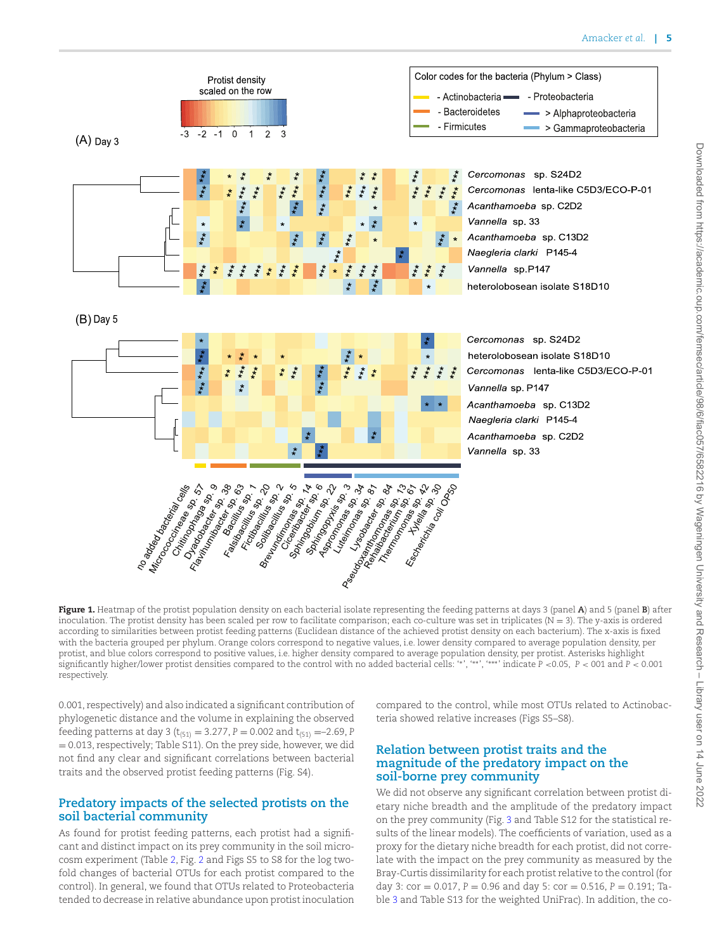<span id="page-4-0"></span>

**Figure 1.** Heatmap of the protist population density on each bacterial isolate representing the feeding patterns at days 3 (panel **A**) and 5 (panel **B**) after inoculation. The protist density has been scaled per row to facilitate comparison; each co-culture was set in triplicates  $(N = 3)$ . The y-axis is ordered according to similarities between protist feeding patterns (Euclidean distance of the achieved protist density on each bacterium). The x-axis is fixed with the bacteria grouped per phylum. Orange colors correspond to negative values, i.e. lower density compared to average population density, per protist, and blue colors correspond to positive values, i.e. higher density compared to average population density, per protist. Asterisks highlight<br>significantly higher/lower protist densities compared to the control with respectively.

0.001, respectively) and also indicated a significant contribution of phylogenetic distance and the volume in explaining the observed feeding patterns at day 3 ( $t_{(51)} = 3.277$ ,  $P = 0.002$  and  $t_{(51)} = -2.69$ , *P* = 0.013, respectively; Table S11). On the prey side, however, we did not find any clear and significant correlations between bacterial traits and the observed protist feeding patterns (Fig. S4).

#### **Predatory impacts of the selected protists on the soil bacterial community**

As found for protist feeding patterns, each protist had a significant and distinct impact on its prey community in the soil microcosm experiment (Table [2,](#page-5-1) Fig. [2](#page-6-0) and Figs S5 to S8 for the log twofold changes of bacterial OTUs for each protist compared to the control). In general, we found that OTUs related to Proteobacteria tended to decrease in relative abundance upon protist inoculation compared to the control, while most OTUs related to Actinobacteria showed relative increases (Figs S5–S8).

#### **Relation between protist traits and the magnitude of the predatory impact on the soil-borne prey community**

We did not observe any significant correlation between protist dietary niche breadth and the amplitude of the predatory impact on the prey community (Fig. [3](#page-7-0) and Table S12 for the statistical results of the linear models). The coefficients of variation, used as a proxy for the dietary niche breadth for each protist, did not correlate with the impact on the prey community as measured by the Bray-Curtis dissimilarity for each protist relative to the control (for day 3:  $cor = 0.017$ ,  $P = 0.96$  and day 5:  $cor = 0.516$ ,  $P = 0.191$ ; Table [3](#page-5-2) and Table S13 for the weighted UniFrac). In addition, the co-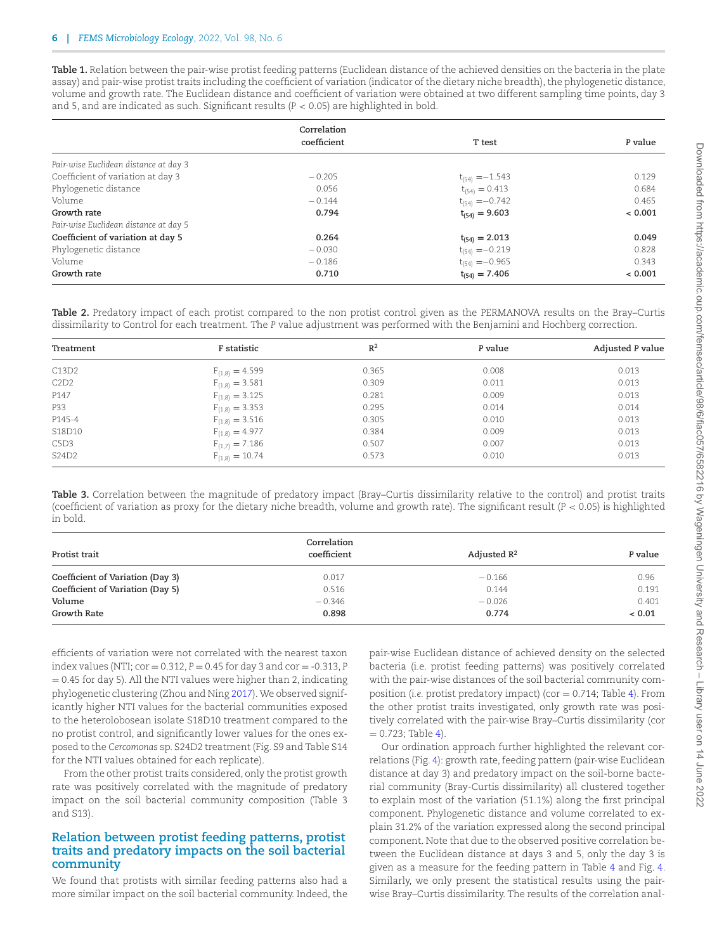<span id="page-5-0"></span>**Table 1.** Relation between the pair-wise protist feeding patterns (Euclidean distance of the achieved densities on the bacteria in the plate assay) and pair-wise protist traits including the coefficient of variation (indicator of the dietary niche breadth), the phylogenetic distance, volume and growth rate. The Euclidean distance and coefficient of variation were obtained at two different sampling time points, day 3 and 5, and are indicated as such. Significant results (*P* < 0.05) are highlighted in bold.

|                                       | Correlation |                     |         |
|---------------------------------------|-------------|---------------------|---------|
|                                       | coefficient | T test              | P value |
| Pair-wise Euclidean distance at day 3 |             |                     |         |
| Coefficient of variation at day 3     | $-0.205$    | $t_{(54)} = -1.543$ | 0.129   |
| Phylogenetic distance                 | 0.056       | $t_{(54)} = 0.413$  | 0.684   |
| Volume                                | $-0.144$    | $t_{(54)} = -0.742$ | 0.465   |
| Growth rate                           | 0.794       | $t_{(54)} = 9.603$  | < 0.001 |
| Pair-wise Euclidean distance at day 5 |             |                     |         |
| Coefficient of variation at day 5     | 0.264       | $t_{(54)} = 2.013$  | 0.049   |
| Phylogenetic distance                 | $-0.030$    | $t_{(54)} = -0.219$ | 0.828   |
| Volume                                | $-0.186$    | $t_{(54)} = -0.965$ | 0.343   |
| Growth rate                           | 0.710       | $t_{(54)} = 7.406$  | < 0.001 |

<span id="page-5-1"></span>**Table 2.** Predatory impact of each protist compared to the non protist control given as the PERMANOVA results on the Bray–Curtis dissimilarity to Control for each treatment. The *P* value adjustment was performed with the Benjamini and Hochberg correction.

| Treatment | F statistic         | $R^2$ | P value | <b>Adjusted P value</b> |
|-----------|---------------------|-------|---------|-------------------------|
| C13D2     | $F_{(1,8)} = 4.599$ | 0.365 | 0.008   | 0.013                   |
| C2D2      | $F_{(1,8)} = 3.581$ | 0.309 | 0.011   | 0.013                   |
| P147      | $F_{(1,8)} = 3.125$ | 0.281 | 0.009   | 0.013                   |
| P33       | $F_{(1,8)} = 3.353$ | 0.295 | 0.014   | 0.014                   |
| P145-4    | $F_{(1,8)} = 3.516$ | 0.305 | 0.010   | 0.013                   |
| S18D10    | $F_{(1,8)} = 4.977$ | 0.384 | 0.009   | 0.013                   |
| C5D3      | $F_{(1,7)} = 7.186$ | 0.507 | 0.007   | 0.013                   |
| S24D2     | $F_{(1,8)} = 10.74$ | 0.573 | 0.010   | 0.013                   |

<span id="page-5-2"></span>**Table 3.** Correlation between the magnitude of predatory impact (Bray–Curtis dissimilarity relative to the control) and protist traits (coefficient of variation as proxy for the dietary niche breadth, volume and growth rate). The significant result (*P* < 0.05) is highlighted in bold.

| Protist trait                    | Correlation<br>coefficient | Adjusted $\mathbb{R}^2$ | P value |
|----------------------------------|----------------------------|-------------------------|---------|
| Coefficient of Variation (Day 3) | 0.017                      | $-0.166$                | 0.96    |
| Coefficient of Variation (Day 5) | 0.516                      | 0.144                   | 0.191   |
| Volume                           | $-0.346$                   | $-0.026$                | 0.401   |
| Growth Rate                      | 0.898                      | 0.774                   | < 0.01  |

efficients of variation were not correlated with the nearest taxon index values (NTI;  $cor = 0.312$ ,  $P = 0.45$  for day 3 and  $cor = -0.313$ ,  $P$  $= 0.45$  for day 5). All the NTI values were higher than 2, indicating phylogenetic clustering (Zhou and Ning [2017\)](#page-10-19). We observed significantly higher NTI values for the bacterial communities exposed to the heterolobosean isolate S18D10 treatment compared to the no protist control, and significantly lower values for the ones exposed to the *Cercomonas* sp. S24D2 treatment (Fig. S9 and Table S14 for the NTI values obtained for each replicate).

From the other protist traits considered, only the protist growth rate was positively correlated with the magnitude of predatory impact on the soil bacterial community composition (Table 3 and S13).

#### **Relation between protist feeding patterns, protist traits and predatory impacts on the soil bacterial community**

We found that protists with similar feeding patterns also had a more similar impact on the soil bacterial community. Indeed, the pair-wise Euclidean distance of achieved density on the selected bacteria (i.e. protist feeding patterns) was positively correlated with the pair-wise distances of the soil bacterial community composition (*i.e.* protist predatory impact) (cor = 0.714; Table [4\)](#page-6-1). From the other protist traits investigated, only growth rate was positively correlated with the pair-wise Bray–Curtis dissimilarity (cor  $= 0.723$ ; Table [4\)](#page-6-1).

Our ordination approach further highlighted the relevant correlations (Fig. [4\)](#page-8-0): growth rate, feeding pattern (pair-wise Euclidean distance at day 3) and predatory impact on the soil-borne bacterial community (Bray-Curtis dissimilarity) all clustered together to explain most of the variation (51.1%) along the first principal component. Phylogenetic distance and volume correlated to explain 31.2% of the variation expressed along the second principal component. Note that due to the observed positive correlation between the Euclidean distance at days 3 and 5, only the day 3 is given as a measure for the feeding pattern in Table [4](#page-6-1) and Fig. [4.](#page-8-0) Similarly, we only present the statistical results using the pairwise Bray–Curtis dissimilarity. The results of the correlation anal-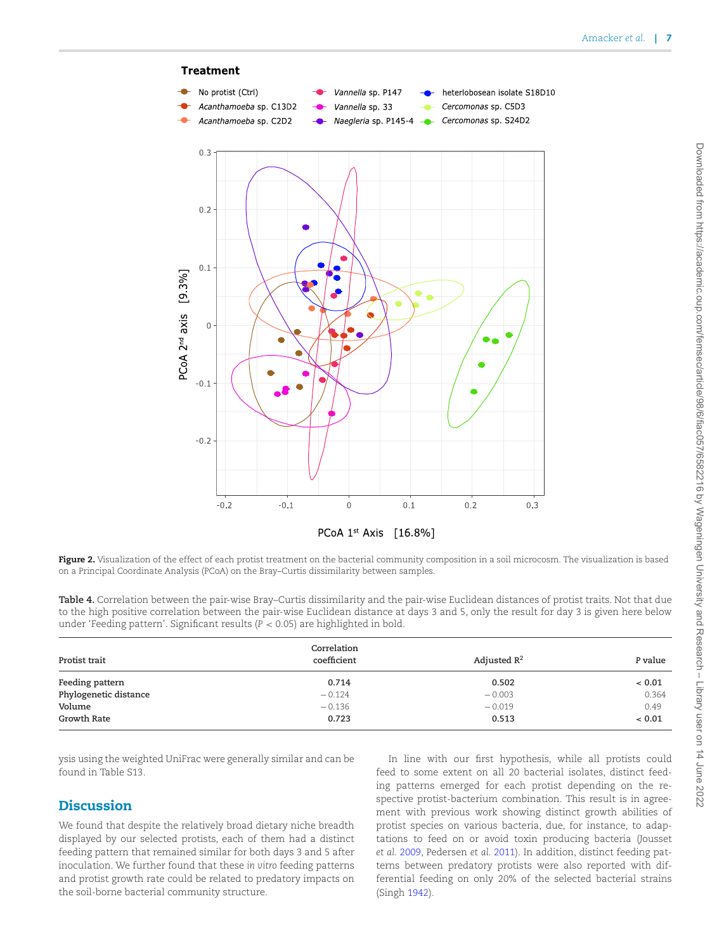<span id="page-6-0"></span>

PCoA 1st Axis [16.8%]

**Figure 2.** Visualization of the effect of each protist treatment on the bacterial community composition in a soil microcosm. The visualization is based on a Principal Coordinate Analysis (PCoA) on the Bray–Curtis dissimilarity between samples.

<span id="page-6-1"></span>**Table 4.** Correlation between the pair-wise Bray–Curtis dissimilarity and the pair-wise Euclidean distances of protist traits. Not that due to the high positive correlation between the pair-wise Euclidean distance at days 3 and 5, only the result for day 3 is given here below under 'Feeding pattern'. Significant results (*P* < 0.05) are highlighted in bold.

| Protist trait         | Correlation<br>coefficient | Adjusted $\mathbb{R}^2$ | P value |
|-----------------------|----------------------------|-------------------------|---------|
| Feeding pattern       | 0.714                      | 0.502                   | ~< 0.01 |
| Phylogenetic distance | $-0.124$                   | $-0.003$                | 0.364   |
| Volume                | $-0.136$                   | $-0.019$                | 0.49    |
| Growth Rate           | 0.723                      | 0.513                   | < 0.01  |

ysis using the weighted UniFrac were generally similar and can be found in Table S13.

## **Discussion**

We found that despite the relatively broad dietary niche breadth displayed by our selected protists, each of them had a distinct feeding pattern that remained similar for both days 3 and 5 after inoculation. We further found that these *in vitro* feeding patterns and protist growth rate could be related to predatory impacts on the soil-borne bacterial community structure.

In line with our first hypothesis, while all protists could feed to some extent on all 20 bacterial isolates, distinct feeding patterns emerged for each protist depending on the respective protist-bacterium combination. This result is in agreement with previous work showing distinct growth abilities of protist species on various bacteria, due, for instance, to adaptations to feed on or avoid toxin producing bacteria (Jousset *et al.* [2009,](#page-9-22) Pedersen *et al.* [2011\)](#page-10-21). In addition, distinct feeding patterns between predatory protists were also reported with differential feeding on only 20% of the selected bacterial strains (Singh [1942\)](#page-10-6).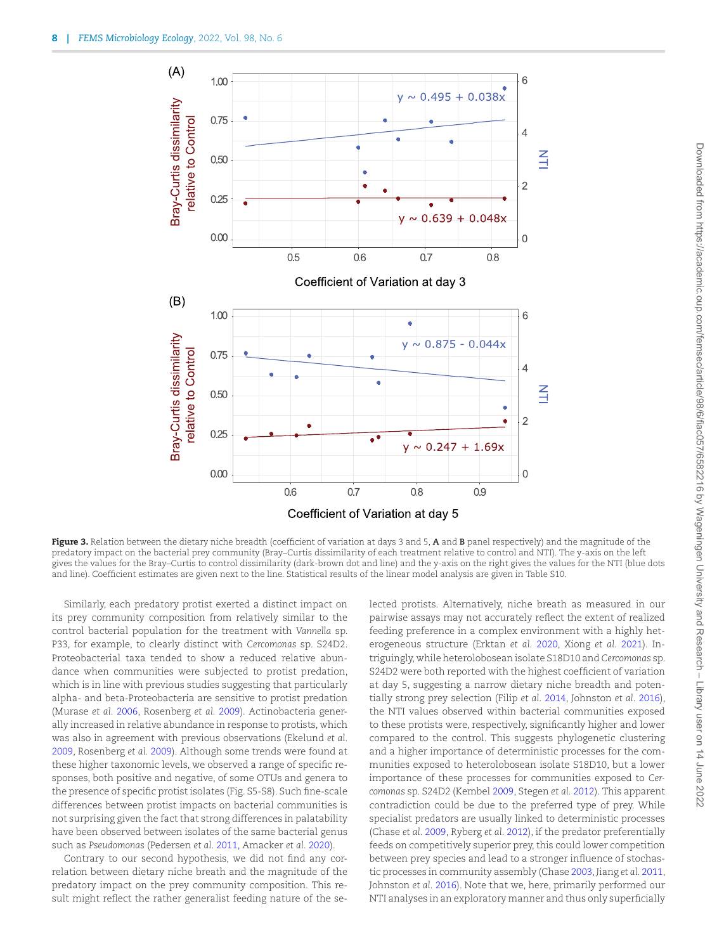<span id="page-7-0"></span>

**Figure 3.** Relation between the dietary niche breadth (coefficient of variation at days 3 and 5, **A** and **B** panel respectively) and the magnitude of the predatory impact on the bacterial prey community (Bray–Curtis dissimilarity of each treatment relative to control and NTI). The y-axis on the left gives the values for the Bray–Curtis to control dissimilarity (dark-brown dot and line) and the y-axis on the right gives the values for the NTI (blue dots and line). Coefficient estimates are given next to the line. Statistical results of the linear model analysis are given in Table S10.

Similarly, each predatory protist exerted a distinct impact on its prey community composition from relatively similar to the control bacterial population for the treatment with *Vannella* sp. P33, for example, to clearly distinct with *Cercomonas* sp. S24D2. Proteobacterial taxa tended to show a reduced relative abundance when communities were subjected to protist predation, which is in line with previous studies suggesting that particularly alpha- and beta-Proteobacteria are sensitive to protist predation (Murase *et al.* [2006,](#page-10-22) Rosenberg *et al.* [2009\)](#page-10-23)*.* Actinobacteria generally increased in relative abundance in response to protists, which was also in agreement with previous observations (Ekelund *et al.* [2009,](#page-9-23) Rosenberg *et al.* [2009\)](#page-10-23). Although some trends were found at these higher taxonomic levels, we observed a range of specific responses, both positive and negative, of some OTUs and genera to the presence of specific protist isolates (Fig. S5-S8). Such fine-scale differences between protist impacts on bacterial communities is not surprising given the fact that strong differences in palatability have been observed between isolates of the same bacterial genus such as *Pseudomonas* (Pedersen *et al.* [2011,](#page-10-21) Amacker *et al.* [2020\)](#page-9-24).

Contrary to our second hypothesis, we did not find any correlation between dietary niche breath and the magnitude of the predatory impact on the prey community composition. This result might reflect the rather generalist feeding nature of the selected protists. Alternatively, niche breath as measured in our pairwise assays may not accurately reflect the extent of realized feeding preference in a complex environment with a highly heterogeneous structure (Erktan *et al.* [2020,](#page-9-25) Xiong *et al.* [2021\)](#page-10-5). Intriguingly, while heterolobosean isolate S18D10 and *Cercomonas* sp. S24D2 were both reported with the highest coefficient of variation at day 5, suggesting a narrow dietary niche breadth and potentially strong prey selection (Filip *et al.* [2014,](#page-9-10) Johnston *et al.* [2016\)](#page-9-11), the NTI values observed within bacterial communities exposed to these protists were, respectively, significantly higher and lower compared to the control. This suggests phylogenetic clustering and a higher importance of deterministic processes for the communities exposed to heterolobosean isolate S18D10, but a lower importance of these processes for communities exposed to *Cercomonas* sp. S24D2 (Kembel [2009,](#page-10-24) Stegen *et al.* [2012\)](#page-10-25). This apparent contradiction could be due to the preferred type of prey. While specialist predators are usually linked to deterministic processes (Chase *et al.* [2009,](#page-9-26) Ryberg *et al.* [2012\)](#page-10-11), if the predator preferentially feeds on competitively superior prey, this could lower competition between prey species and lead to a stronger influence of stochastic processes in community assembly (Chase [2003,](#page-9-27) Jiang *et al.* [2011,](#page-9-28) Johnston *et al.* [2016\)](#page-9-11). Note that we, here, primarily performed our NTI analyses in an exploratory manner and thus only superficially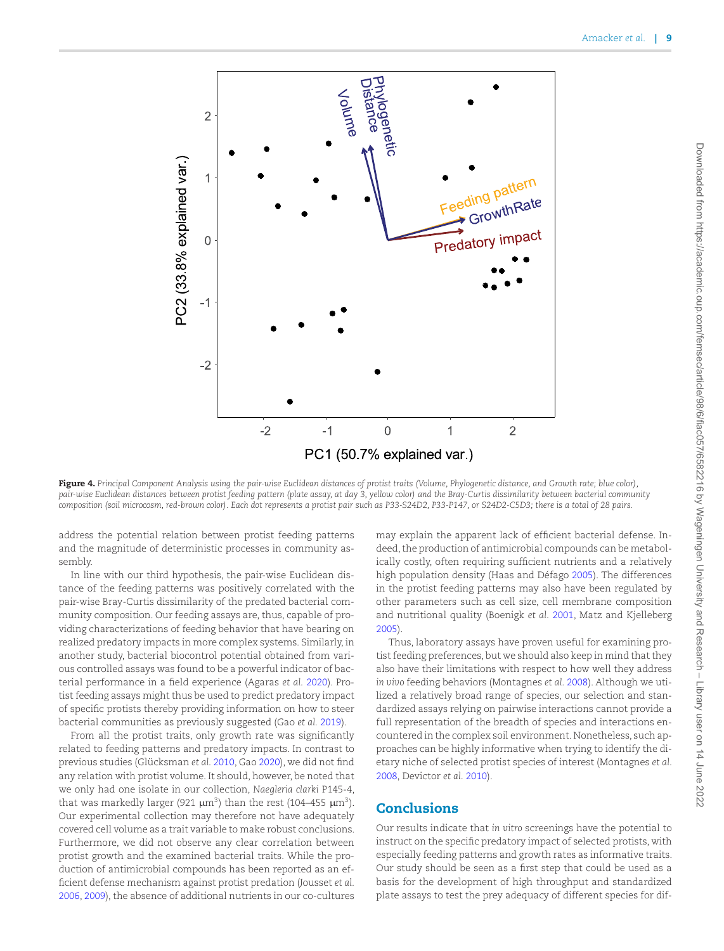<span id="page-8-0"></span>

**Figure 4.** *Principal Component Analysis using the pair-wise Euclidean distances of protist traits (Volume, Phylogenetic distance, and Growth rate; blue color), pair-wise Euclidean distances between protist feeding pattern (plate assay, at day 3, yellow color) and the Bray-Curtis dissimilarity between bacterial community composition (soil microcosm, red-brown color). Each dot represents a protist pair such as P33-S24D2, P33-P147, or S24D2-C5D3; there is a total of 28 pairs.*

address the potential relation between protist feeding patterns and the magnitude of deterministic processes in community assembly.

In line with our third hypothesis, the pair-wise Euclidean distance of the feeding patterns was positively correlated with the pair-wise Bray-Curtis dissimilarity of the predated bacterial community composition. Our feeding assays are, thus, capable of providing characterizations of feeding behavior that have bearing on realized predatory impacts in more complex systems. Similarly, in another study, bacterial biocontrol potential obtained from various controlled assays was found to be a powerful indicator of bacterial performance in a field experience (Agaras *et al.* [2020\)](#page-9-29). Protist feeding assays might thus be used to predict predatory impact of specific protists thereby providing information on how to steer bacterial communities as previously suggested (Gao *et al.* [2019\)](#page-9-4).

From all the protist traits, only growth rate was significantly related to feeding patterns and predatory impacts. In contrast to previous studies (Glücksman *et al.* [2010,](#page-9-8) Gao [2020\)](#page-9-9), we did not find any relation with protist volume. It should, however, be noted that we only had one isolate in our collection, *Naegleria clarki* P145-4, that was markedly larger (921  $\mu$ m<sup>3</sup>) than the rest (104–455  $\mu$ m<sup>3</sup>). Our experimental collection may therefore not have adequately covered cell volume as a trait variable to make robust conclusions. Furthermore, we did not observe any clear correlation between protist growth and the examined bacterial traits. While the production of antimicrobial compounds has been reported as an efficient defense mechanism against protist predation (Jousset *et al.* [2006,](#page-9-30) [2009\)](#page-9-22), the absence of additional nutrients in our co-cultures

may explain the apparent lack of efficient bacterial defense. Indeed, the production of antimicrobial compounds can be metabolically costly, often requiring sufficient nutrients and a relatively high population density (Haas and Défago [2005\)](#page-9-31). The differences in the protist feeding patterns may also have been regulated by other parameters such as cell size, cell membrane composition and nutritional quality (Boenigk *et al.* [2001,](#page-9-32) Matz and Kjelleberg [2005\)](#page-10-7).

Thus, laboratory assays have proven useful for examining protist feeding preferences, but we should also keep in mind that they also have their limitations with respect to how well they address *in vivo* feeding behaviors (Montagnes *et al.* [2008\)](#page-10-26). Although we utilized a relatively broad range of species, our selection and standardized assays relying on pairwise interactions cannot provide a full representation of the breadth of species and interactions encountered in the complex soil environment. Nonetheless, such approaches can be highly informative when trying to identify the dietary niche of selected protist species of interest (Montagnes *et al.* [2008,](#page-10-26) Devictor *et al.* [2010\)](#page-9-33).

#### **Conclusions**

Our results indicate that *in vitro* screenings have the potential to instruct on the specific predatory impact of selected protists, with especially feeding patterns and growth rates as informative traits. Our study should be seen as a first step that could be used as a basis for the development of high throughput and standardized plate assays to test the prey adequacy of different species for dif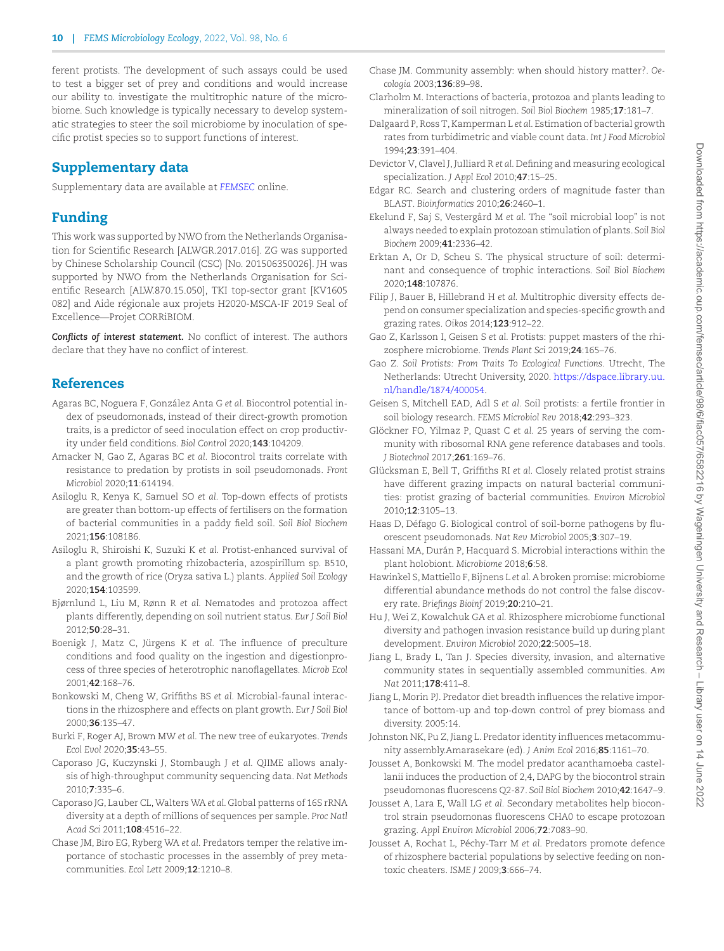ferent protists. The development of such assays could be used to test a bigger set of prey and conditions and would increase our ability to. investigate the multitrophic nature of the microbiome. Such knowledge is typically necessary to develop systematic strategies to steer the soil microbiome by inoculation of specific protist species so to support functions of interest.

## **Supplementary data**

Supplementary data are available at *[FEMSEC](https://academic.oup.com/femsec/article-lookup/doi/10.1093/femsec/fiac057#supplementary-data)* online.

# **Funding**

This work was supported by NWO from the Netherlands Organisation for Scientific Research [ALWGR.2017.016]. ZG was supported by Chinese Scholarship Council (CSC) [No. 201506350026]. JH was supported by NWO from the Netherlands Organisation for Scientific Research [ALW.870.15.050], TKI top-sector grant [KV1605 082] and Aide régionale aux projets H2020-MSCA-IF 2019 Seal of Excellence—Projet CORRiBIOM.

*Conflicts of interest statement.* No conflict of interest. The authors declare that they have no conflict of interest.

## **References**

- <span id="page-9-29"></span>Agaras BC, Noguera F, González Anta G *et al.* Biocontrol potential index of pseudomonads, instead of their direct-growth promotion traits, is a predictor of seed inoculation effect on crop productivity under field conditions. *Biol Control* 2020;**143**:104209.
- <span id="page-9-24"></span>Amacker N, Gao Z, Agaras BC *et al.* Biocontrol traits correlate with resistance to predation by protists in soil pseudomonads. *Front Microbiol* 2020;**11**:614194.
- <span id="page-9-12"></span>Asiloglu R, Kenya K, Samuel SO *et al.* Top-down effects of protists are greater than bottom-up effects of fertilisers on the formation of bacterial communities in a paddy field soil. *Soil Biol Biochem* 2021;**156**:108186.
- <span id="page-9-13"></span>Asiloglu R, Shiroishi K, Suzuki K *et al.* Protist-enhanced survival of a plant growth promoting rhizobacteria, azospirillum sp. B510, and the growth of rice (Oryza sativa L.) plants. *Applied Soil Ecology* 2020;**154**:103599.
- <span id="page-9-2"></span>Bjørnlund L, Liu M, Rønn R *et al.* Nematodes and protozoa affect plants differently, depending on soil nutrient status. *Eur J Soil Biol* 2012;**50**:28–31.
- <span id="page-9-32"></span>Boenigk J, Matz C, Jürgens K *et al.* The influence of preculture conditions and food quality on the ingestion and digestionprocess of three species of heterotrophic nanoflagellates. *Microb Ecol* 2001;**42**:168–76.
- <span id="page-9-3"></span>Bonkowski M, Cheng W, Griffiths BS *et al.* Microbial-faunal interactions in the rhizosphere and effects on plant growth. *Eur J Soil Biol* 2000;**36**:135–47.
- <span id="page-9-14"></span>Burki F, Roger AJ, Brown MW *et al.* The new tree of eukaryotes. *Trends Ecol Evol* 2020;**35**:43–55.
- <span id="page-9-17"></span>Caporaso JG, Kuczynski J, Stombaugh J *et al.* QIIME allows analysis of high-throughput community sequencing data. *Nat Methods* 2010;**7**:335–6.
- <span id="page-9-16"></span>Caporaso JG, Lauber CL,Walters WA *et al.* Global patterns of 16S rRNA diversity at a depth of millions of sequences per sample. *Proc Natl Acad Sci* 2011;**108**:4516–22.
- <span id="page-9-26"></span>Chase JM, Biro EG, Ryberg WA *et al.* Predators temper the relative importance of stochastic processes in the assembly of prey metacommunities. *Ecol Lett* 2009;**12**:1210–8.
- <span id="page-9-27"></span>Chase JM. Community assembly: when should history matter?. *Oecologia* 2003;**136**:89–98.
- <span id="page-9-1"></span>Clarholm M. Interactions of bacteria, protozoa and plants leading to mineralization of soil nitrogen. *Soil Biol Biochem* 1985;**17**:181–7.
- <span id="page-9-15"></span>Dalgaard P, Ross T, Kamperman L *et al.* Estimation of bacterial growth rates from turbidimetric and viable count data. *Int J Food Microbiol* 1994;**23**:391–404.
- <span id="page-9-33"></span>Devictor V, Clavel J, Julliard R *et al.* Defining and measuring ecological specialization. *J Appl Ecol* 2010;**47**:15–25.
- <span id="page-9-18"></span>Edgar RC. Search and clustering orders of magnitude faster than BLAST. *Bioinformatics* 2010;**26**:2460–1.
- <span id="page-9-23"></span>Ekelund F, Saj S, Vestergård M *et al.* The "soil microbial loop" is not always needed to explain protozoan stimulation of plants. *Soil Biol Biochem* 2009;**41**:2336–42.
- <span id="page-9-25"></span>Erktan A, Or D, Scheu S. The physical structure of soil: determinant and consequence of trophic interactions. *Soil Biol Biochem* 2020;**148**:107876.
- <span id="page-9-10"></span>Filip J, Bauer B, Hillebrand H *et al.* Multitrophic diversity effects depend on consumer specialization and species-specific growth and grazing rates. *Oikos* 2014;**123**:912–22.
- <span id="page-9-4"></span>Gao Z, Karlsson I, Geisen S *et al.* Protists: puppet masters of the rhizosphere microbiome. *Trends Plant Sci* 2019;**24**:165–76.
- <span id="page-9-9"></span>Gao Z. *Soil Protists: From Traits To Ecological Functions*. Utrecht, The [Netherlands: Utrecht University, 2020.](https://dspace.library.uu.nl/handle/1874/400054) https://dspace.library.uu. nl/handle/1874/400054.
- <span id="page-9-6"></span>Geisen S, Mitchell EAD, Adl S *et al.* Soil protists: a fertile frontier in soil biology research. *FEMS Microbiol Rev* 2018;**42**:293–323.
- <span id="page-9-19"></span>Glöckner FO, Yilmaz P, Quast C *et al.* 25 years of serving the community with ribosomal RNA gene reference databases and tools. *J Biotechnol* 2017;**261**:169–76.
- <span id="page-9-8"></span>Glücksman E, Bell T, Griffiths RI *et al.* Closely related protist strains have different grazing impacts on natural bacterial communities: protist grazing of bacterial communities. *Environ Microbiol* 2010;**12**:3105–13.
- <span id="page-9-31"></span>Haas D, Défago G. Biological control of soil-borne pathogens by fluorescent pseudomonads. *Nat Rev Microbiol* 2005;**3**:307–19.
- <span id="page-9-0"></span>Hassani MA, Durán P, Hacquard S. Microbial interactions within the plant holobiont. *Microbiome* 2018;**6**:58.
- <span id="page-9-20"></span>Hawinkel S, Mattiello F, Bijnens L *et al.* A broken promise: microbiome differential abundance methods do not control the false discovery rate. *Briefings Bioinf* 2019;**20**:210–21.
- <span id="page-9-21"></span>Hu J, Wei Z, Kowalchuk GA *et al.* Rhizosphere microbiome functional diversity and pathogen invasion resistance build up during plant development. *Environ Microbiol* 2020;**22**:5005–18.
- <span id="page-9-28"></span>Jiang L, Brady L, Tan J. Species diversity, invasion, and alternative community states in sequentially assembled communities. *Am Nat* 2011;**178**:411–8.
- <span id="page-9-7"></span>Jiang L, Morin PJ. Predator diet breadth influences the relative importance of bottom-up and top-down control of prey biomass and diversity. 2005:14.
- <span id="page-9-11"></span>Johnston NK, Pu Z, Jiang L. Predator identity influences metacommunity assembly.Amarasekare (ed). *J Anim Ecol* 2016;**85**:1161–70.
- <span id="page-9-5"></span>Jousset A, Bonkowski M. The model predator acanthamoeba castellanii induces the production of 2,4, DAPG by the biocontrol strain pseudomonas fluorescens Q2-87. *Soil Biol Biochem* 2010;**42**:1647–9.
- <span id="page-9-30"></span>Jousset A, Lara E, Wall LG *et al.* Secondary metabolites help biocontrol strain pseudomonas fluorescens CHA0 to escape protozoan grazing. *Appl Environ Microbiol* 2006;**72**:7083–90.
- <span id="page-9-22"></span>Jousset A, Rochat L, Péchy-Tarr M *et al.* Predators promote defence of rhizosphere bacterial populations by selective feeding on nontoxic cheaters. *ISME J* 2009;**3**:666–74.